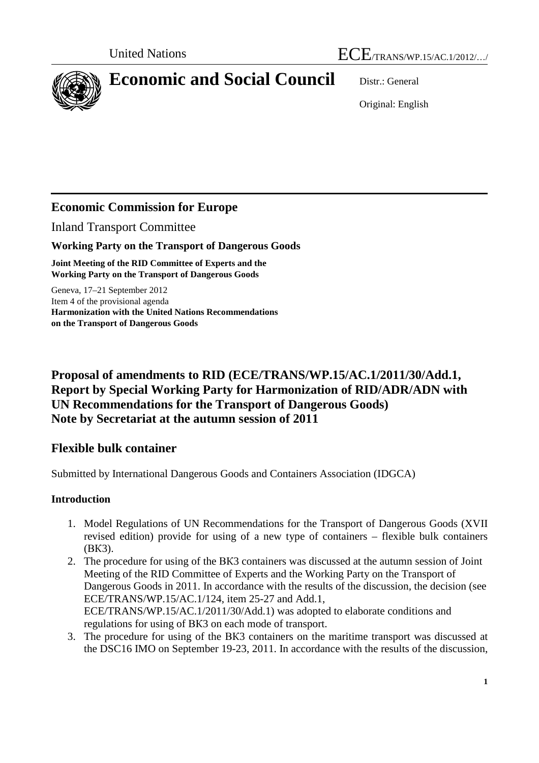

# **Economic and Social Council** Distr.: General

Original: English

# **Economic Commission for Europe**

Inland Transport Committee

## **Working Party on the Transport of Dangerous Goods**

**Joint Meeting of the RID Committee of Experts and the Working Party on the Transport of Dangerous Goods** 

Geneva, 17–21 September 2012 Item 4 of the provisional agenda **Harmonization with the United Nations Recommendations on the Transport of Dangerous Goods** 

# **Proposal of amendments to RID (ECE/TRANS/WP.15/AC.1/2011/30/Add.1, Report by Special Working Party for Harmonization of RID/ADR/ADN with UN Recommendations for the Transport of Dangerous Goods) Note by Secretariat at the autumn session of 2011**

# **Flexible bulk container**

Submitted by International Dangerous Goods and Containers Association (IDGCA)

## **Introduction**

- 1. Model Regulations of UN Recommendations for the Transport of Dangerous Goods (XVII revised edition) provide for using of a new type of containers – flexible bulk containers (ВК3).
- 2. The procedure for using of the ВК3 containers was discussed at the autumn session of Joint Meeting of the RID Committee of Experts and the Working Party on the Transport of Dangerous Goods in 2011. In accordance with the results of the discussion, the decision (see ECE/TRANS/WP.15/AC.1/124, item 25-27 and Add.1, ECE/TRANS/WP.15/AC.1/2011/30/Add.1) was adopted to elaborate conditions and regulations for using of ВК3 on each mode of transport.
- 3. The procedure for using of the ВК3 containers on the maritime transport was discussed at the DSC16 IMO on September 19-23, 2011. In accordance with the results of the discussion,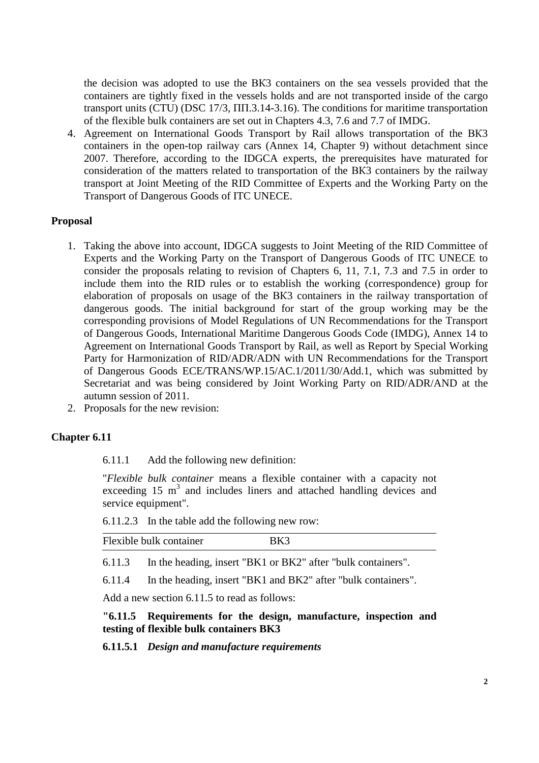the decision was adopted to use the ВК3 containers on the sea vessels provided that the containers are tightly fixed in the vessels holds and are not transported inside of the cargo transport units (CTU) (DSC 17/3, ПП.3.14-3.16). The conditions for maritime transportation of the flexible bulk containers are set out in Chapters 4.3, 7.6 and 7.7 of IMDG.

4. Agreement on International Goods Transport by Rail allows transportation of the ВК3 containers in the open-top railway cars (Annex 14, Chapter 9) without detachment since 2007. Therefore, according to the IDGCA experts, the prerequisites have maturated for consideration of the matters related to transportation of the ВК3 containers by the railway transport at Joint Meeting of the RID Committee of Experts and the Working Party on the Transport of Dangerous Goods of ITC UNECE.

#### **Proposal**

- 1. Taking the above into account, IDGCA suggests to Joint Meeting of the RID Committee of Experts and the Working Party on the Transport of Dangerous Goods of ITC UNECE to consider the proposals relating to revision of Chapters 6, 11, 7.1, 7.3 and 7.5 in order to include them into the RID rules or to establish the working (correspondence) group for elaboration of proposals on usage of the ВК3 containers in the railway transportation of dangerous goods. The initial background for start of the group working may be the corresponding provisions of Model Regulations of UN Recommendations for the Transport of Dangerous Goods, International Maritime Dangerous Goods Code (IMDG), Annex 14 to Agreement on International Goods Transport by Rail, as well as Report by Special Working Party for Harmonization of RID/ADR/ADN with UN Recommendations for the Transport of Dangerous Goods ECE/TRANS/WP.15/AC.1/2011/30/Add.1, which was submitted by Secretariat and was being considered by Joint Working Party on RID/ADR/AND at the autumn session of 2011.
- 2. Proposals for the new revision:

#### **Chapter 6.11**

6.11.1 Add the following new definition:

"*Flexible bulk container* means a flexible container with a capacity not exceeding  $15 \text{ m}^3$  and includes liners and attached handling devices and service equipment".

6.11.2.3 In the table add the following new row:

| Flexible bulk container |  |
|-------------------------|--|
|                         |  |

6.11.3 In the heading, insert "BK1 or BK2" after "bulk containers".

6.11.4 In the heading, insert "BK1 and BK2" after "bulk containers".

Add a new section 6.11.5 to read as follows:

#### **"6.11.5 Requirements for the design, manufacture, inspection and testing of flexible bulk containers BK3**

**6.11.5.1** *Design and manufacture requirements*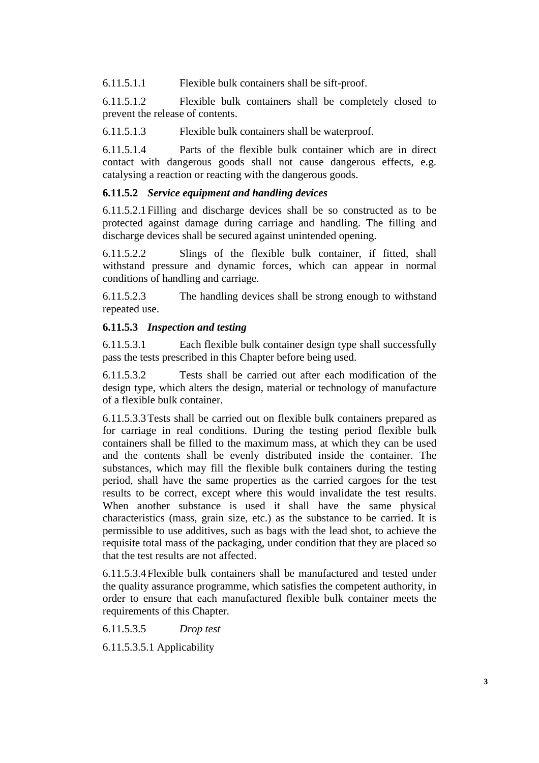6.11.5.1.1 Flexible bulk containers shall be sift-proof.

6.11.5.1.2 Flexible bulk containers shall be completely closed to prevent the release of contents.

6.11.5.1.3 Flexible bulk containers shall be waterproof.

6.11.5.1.4 Parts of the flexible bulk container which are in direct contact with dangerous goods shall not cause dangerous effects, e.g. catalysing a reaction or reacting with the dangerous goods.

### **6.11.5.2** *Service equipment and handling devices*

6.11.5.2.1 Filling and discharge devices shall be so constructed as to be protected against damage during carriage and handling. The filling and discharge devices shall be secured against unintended opening.

6.11.5.2.2 Slings of the flexible bulk container, if fitted, shall withstand pressure and dynamic forces, which can appear in normal conditions of handling and carriage.

6.11.5.2.3 The handling devices shall be strong enough to withstand repeated use.

### **6.11.5.3** *Inspection and testing*

6.11.5.3.1 Each flexible bulk container design type shall successfully pass the tests prescribed in this Chapter before being used.

6.11.5.3.2 Tests shall be carried out after each modification of the design type, which alters the design, material or technology of manufacture of a flexible bulk container.

6.11.5.3.3 Tests shall be carried out on flexible bulk containers prepared as for carriage in real conditions. During the testing period flexible bulk containers shall be filled to the maximum mass, at which they can be used and the contents shall be evenly distributed inside the container. The substances, which may fill the flexible bulk containers during the testing period, shall have the same properties as the carried cargoes for the test results to be correct, except where this would invalidate the test results. When another substance is used it shall have the same physical characteristics (mass, grain size, etc.) as the substance to be carried. It is permissible to use additives, such as bags with the lead shot, to achieve the requisite total mass of the packaging, under condition that they are placed so that the test results are not affected.

6.11.5.3.4 Flexible bulk containers shall be manufactured and tested under the quality assurance programme, which satisfies the competent authority, in order to ensure that each manufactured flexible bulk container meets the requirements of this Chapter.

6.11.5.3.5 *Drop test*

6.11.5.3.5.1 Applicability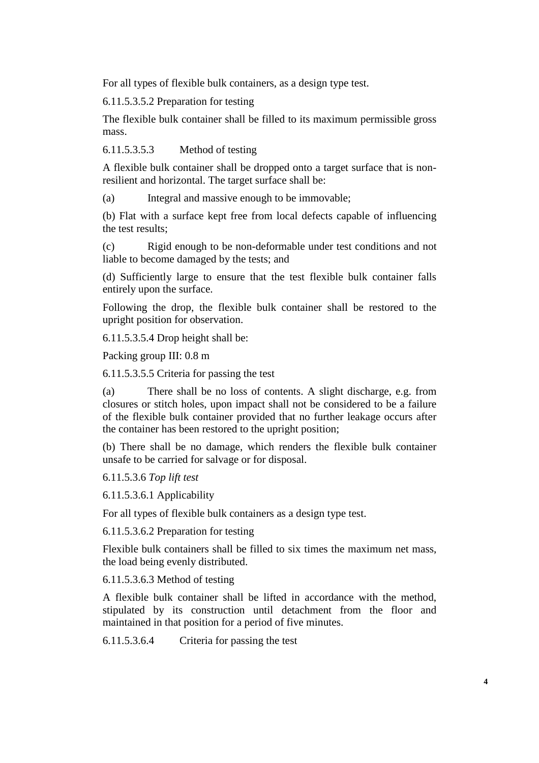For all types of flexible bulk containers, as a design type test.

6.11.5.3.5.2 Preparation for testing

The flexible bulk container shall be filled to its maximum permissible gross mass.

6.11.5.3.5.3 Method of testing

A flexible bulk container shall be dropped onto a target surface that is nonresilient and horizontal. The target surface shall be:

(a) Integral and massive enough to be immovable;

(b) Flat with a surface kept free from local defects capable of influencing the test results;

(c) Rigid enough to be non-deformable under test conditions and not liable to become damaged by the tests; and

(d) Sufficiently large to ensure that the test flexible bulk container falls entirely upon the surface.

Following the drop, the flexible bulk container shall be restored to the upright position for observation.

6.11.5.3.5.4 Drop height shall be:

Packing group III: 0.8 m

6.11.5.3.5.5 Criteria for passing the test

(a) There shall be no loss of contents. A slight discharge, e.g. from closures or stitch holes, upon impact shall not be considered to be a failure of the flexible bulk container provided that no further leakage occurs after the container has been restored to the upright position;

(b) There shall be no damage, which renders the flexible bulk container unsafe to be carried for salvage or for disposal.

6.11.5.3.6 *Top lift test*

6.11.5.3.6.1 Applicability

For all types of flexible bulk containers as a design type test.

6.11.5.3.6.2 Preparation for testing

Flexible bulk containers shall be filled to six times the maximum net mass, the load being evenly distributed.

6.11.5.3.6.3 Method of testing

A flexible bulk container shall be lifted in accordance with the method, stipulated by its construction until detachment from the floor and maintained in that position for a period of five minutes.

6.11.5.3.6.4 Criteria for passing the test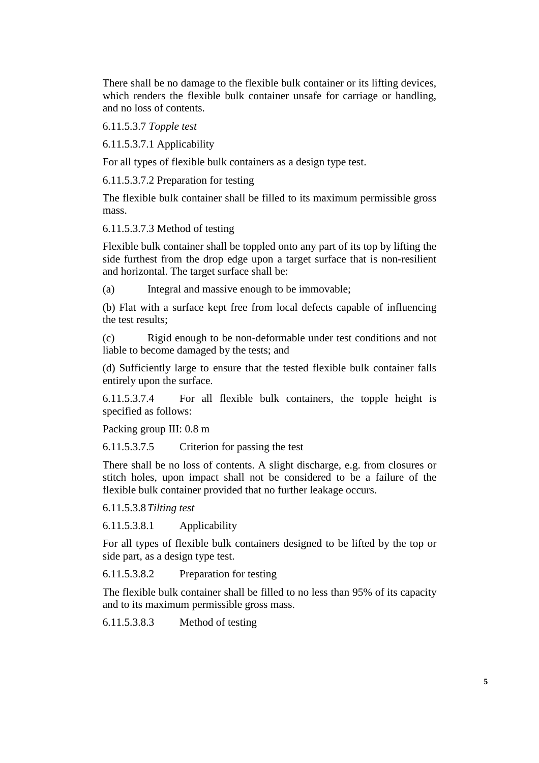There shall be no damage to the flexible bulk container or its lifting devices, which renders the flexible bulk container unsafe for carriage or handling, and no loss of contents.

6.11.5.3.7 *Topple test*

6.11.5.3.7.1 Applicability

For all types of flexible bulk containers as a design type test.

6.11.5.3.7.2 Preparation for testing

The flexible bulk container shall be filled to its maximum permissible gross mass.

6.11.5.3.7.3 Method of testing

Flexible bulk container shall be toppled onto any part of its top by lifting the side furthest from the drop edge upon a target surface that is non-resilient and horizontal. The target surface shall be:

(a) Integral and massive enough to be immovable;

(b) Flat with a surface kept free from local defects capable of influencing the test results;

(c) Rigid enough to be non-deformable under test conditions and not liable to become damaged by the tests; and

(d) Sufficiently large to ensure that the tested flexible bulk container falls entirely upon the surface.

6.11.5.3.7.4 For all flexible bulk containers, the topple height is specified as follows:

Packing group III: 0.8 m

6.11.5.3.7.5 Criterion for passing the test

There shall be no loss of contents. A slight discharge, e.g. from closures or stitch holes, upon impact shall not be considered to be a failure of the flexible bulk container provided that no further leakage occurs.

6.11.5.3.8 *Tilting test*

6.11.5.3.8.1 Applicability

For all types of flexible bulk containers designed to be lifted by the top or side part, as a design type test.

6.11.5.3.8.2 Preparation for testing

The flexible bulk container shall be filled to no less than 95% of its capacity and to its maximum permissible gross mass.

6.11.5.3.8.3 Method of testing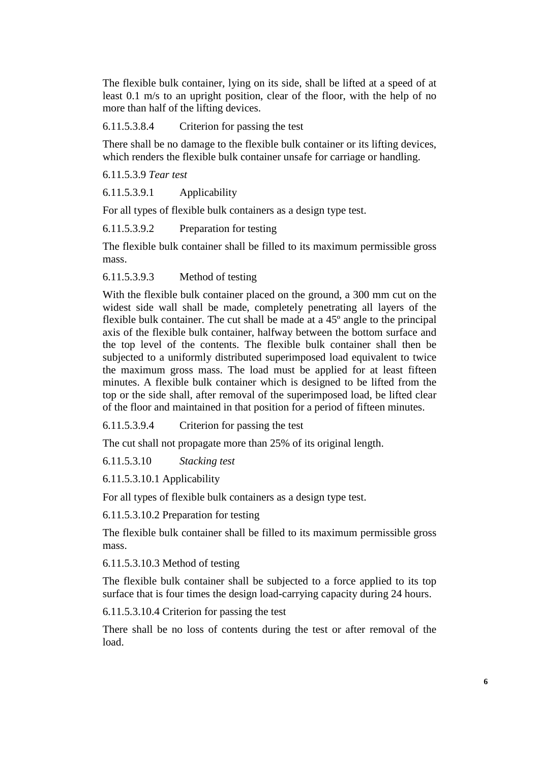The flexible bulk container, lying on its side, shall be lifted at a speed of at least 0.1 m/s to an upright position, clear of the floor, with the help of no more than half of the lifting devices.

6.11.5.3.8.4 Criterion for passing the test

There shall be no damage to the flexible bulk container or its lifting devices, which renders the flexible bulk container unsafe for carriage or handling.

6.11.5.3.9 *Tear test*

6.11.5.3.9.1 Applicability

For all types of flexible bulk containers as a design type test.

6.11.5.3.9.2 Preparation for testing

The flexible bulk container shall be filled to its maximum permissible gross mass.

6.11.5.3.9.3 Method of testing

With the flexible bulk container placed on the ground, a 300 mm cut on the widest side wall shall be made, completely penetrating all layers of the flexible bulk container. The cut shall be made at a 45º angle to the principal axis of the flexible bulk container, halfway between the bottom surface and the top level of the contents. The flexible bulk container shall then be subjected to a uniformly distributed superimposed load equivalent to twice the maximum gross mass. The load must be applied for at least fifteen minutes. A flexible bulk container which is designed to be lifted from the top or the side shall, after removal of the superimposed load, be lifted clear of the floor and maintained in that position for a period of fifteen minutes.

6.11.5.3.9.4 Criterion for passing the test

The cut shall not propagate more than 25% of its original length.

6.11.5.3.10 *Stacking test*

6.11.5.3.10.1 Applicability

For all types of flexible bulk containers as a design type test.

6.11.5.3.10.2 Preparation for testing

The flexible bulk container shall be filled to its maximum permissible gross mass.

6.11.5.3.10.3 Method of testing

The flexible bulk container shall be subjected to a force applied to its top surface that is four times the design load-carrying capacity during 24 hours.

6.11.5.3.10.4 Criterion for passing the test

There shall be no loss of contents during the test or after removal of the load.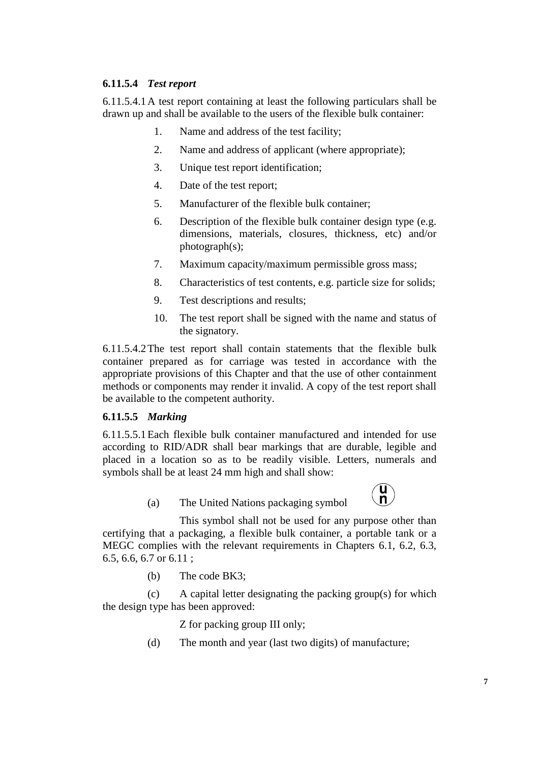## **6.11.5.4** *Test report*

6.11.5.4.1 A test report containing at least the following particulars shall be drawn up and shall be available to the users of the flexible bulk container:

- 1. Name and address of the test facility;
- 2. Name and address of applicant (where appropriate);
- 3. Unique test report identification;
- 4. Date of the test report;
- 5. Manufacturer of the flexible bulk container;
- 6. Description of the flexible bulk container design type (e.g. dimensions, materials, closures, thickness, etc) and/or photograph(s);
- 7. Maximum capacity/maximum permissible gross mass;
- 8. Characteristics of test contents, e.g. particle size for solids;
- 9. Test descriptions and results;
- 10. The test report shall be signed with the name and status of the signatory.

6.11.5.4.2 The test report shall contain statements that the flexible bulk container prepared as for carriage was tested in accordance with the appropriate provisions of this Chapter and that the use of other containment methods or components may render it invalid. A copy of the test report shall be available to the competent authority.

#### **6.11.5.5** *Marking*

6.11.5.5.1 Each flexible bulk container manufactured and intended for use according to RID/ADR shall bear markings that are durable, legible and placed in a location so as to be readily visible. Letters, numerals and symbols shall be at least 24 mm high and shall show:

(a) The United Nations packaging symbol



 This symbol shall not be used for any purpose other than certifying that a packaging, a flexible bulk container, a portable tank or a MEGC complies with the relevant requirements in Chapters 6.1, 6.2, 6.3, 6.5, 6.6, 6.7 or 6.11 ;

(b) The code BK3;

 (c) A capital letter designating the packing group(s) for which the design type has been approved:

Z for packing group III only;

(d) The month and year (last two digits) of manufacture;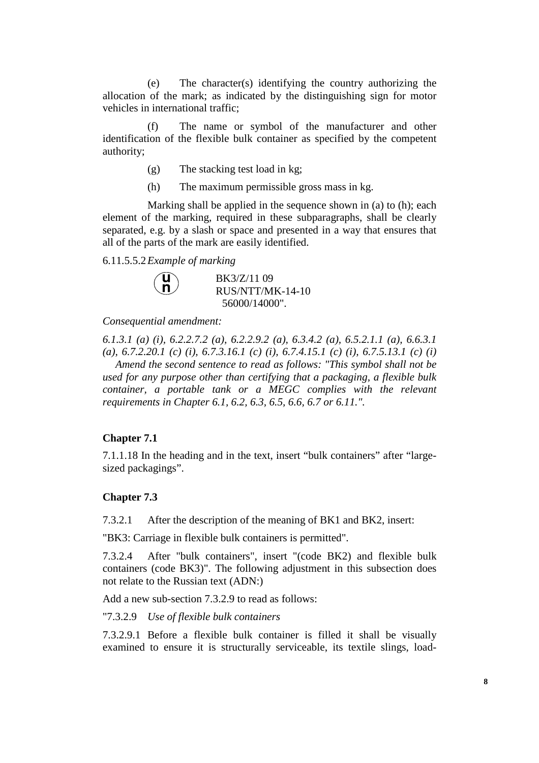(e) The character(s) identifying the country authorizing the allocation of the mark; as indicated by the distinguishing sign for motor vehicles in international traffic;

 (f) The name or symbol of the manufacturer and other identification of the flexible bulk container as specified by the competent authority;

- (g) The stacking test load in kg;
- (h) The maximum permissible gross mass in kg.

 Marking shall be applied in the sequence shown in (a) to (h); each element of the marking, required in these subparagraphs, shall be clearly separated, e.g. by a slash or space and presented in a way that ensures that all of the parts of the mark are easily identified.

6.11.5.5.2 *Example of marking* 

| $\binom{n}{n}$ | BK3/Z/11 09      |
|----------------|------------------|
|                | RUS/NTT/MK-14-10 |
|                | 56000/14000".    |

*Consequential amendment:* 

*6.1.3.1 (a) (i), 6.2.2.7.2 (a), 6.2.2.9.2 (a), 6.3.4.2 (a), 6.5.2.1.1 (a), 6.6.3.1 (a), 6.7.2.20.1 (c) (i), 6.7.3.16.1 (c) (i), 6.7.4.15.1 (c) (i), 6.7.5.13.1 (c) (i) Amend the second sentence to read as follows: "This symbol shall not be used for any purpose other than certifying that a packaging, a flexible bulk container, a portable tank or a MEGC complies with the relevant requirements in Chapter 6.1, 6.2, 6.3, 6.5, 6.6, 6.7 or 6.11.".* 

#### **Chapter 7.1**

7.1.1.18 In the heading and in the text, insert "bulk containers" after "largesized packagings".

#### **Chapter 7.3**

7.3.2.1 After the description of the meaning of BK1 and BK2, insert:

"BK3: Carriage in flexible bulk containers is permitted".

7.3.2.4 After "bulk containers", insert "(code BK2) and flexible bulk containers (code BK3)". The following adjustment in this subsection does not relate to the Russian text (ADN:)

Add a new sub-section 7.3.2.9 to read as follows:

"7.3.2.9 *Use of flexible bulk containers* 

7.3.2.9.1 Before a flexible bulk container is filled it shall be visually examined to ensure it is structurally serviceable, its textile slings, load